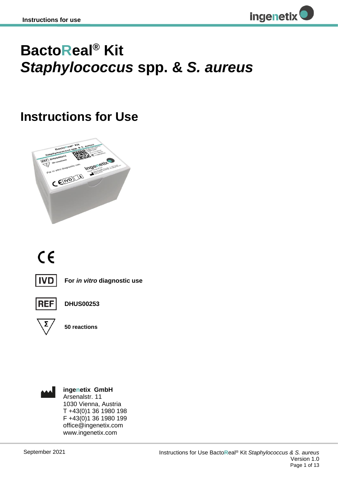

## **BactoReal® Kit**  *Staphylococcus* **spp. &** *S. aureus*

## **Instructions for Use**



# $C<sub>f</sub>$



**For** *in vitro* **diagnostic use**



**DHUS00253**



**50 reactions**



**ingenetix GmbH** Arsenalstr. 11 1030 Vienna, Austria T +43(0)1 36 1980 198 F +43(0)1 36 1980 199 office@ingenetix.com www.ingenetix.com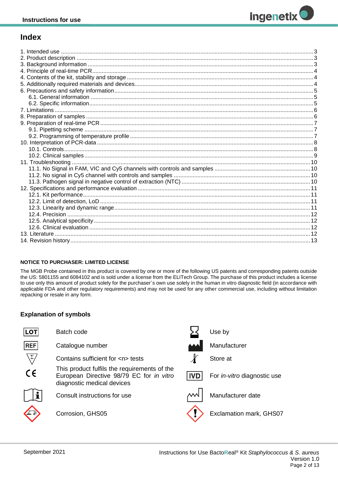## **Index**

#### **NOTICE TO PURCHASER: LIMITED LICENSE**

The MGB Probe contained in this product is covered by one or more of the following US patents and corresponding patents outside the US: 5801155 and 6084102 and is sold under a license from the ELITech Group. The purchase of this product includes a license to use only this amount of product solely for the purchaser's own use solely in the human in vitro diagnostic field (in accordance with applicable FDA and other regulatory requirements) and may not be used for any other commercial use, including without limitation repacking or resale in any form.

## **Explanation of symbols**

| <b>LOT</b>        | Batch code                                                                                                             |            | Use by                             |
|-------------------|------------------------------------------------------------------------------------------------------------------------|------------|------------------------------------|
| <b>REF</b>        | Catalogue number                                                                                                       |            | Manufacturer                       |
| $\sqrt{\Sigma}_I$ | Contains sufficient for <n> tests</n>                                                                                  |            | Store at                           |
| $C \in$           | This product fulfils the requirements of the<br>European Directive 98/79 EC for in vitro<br>diagnostic medical devices | <b>IVD</b> | For <i>in-vitro</i> diagnostic use |
|                   | Consult instructions for use                                                                                           |            | Manufacturer date                  |
|                   | Corrosion, GHS05                                                                                                       |            | Exclamation mark, GHS07            |
|                   |                                                                                                                        |            |                                    |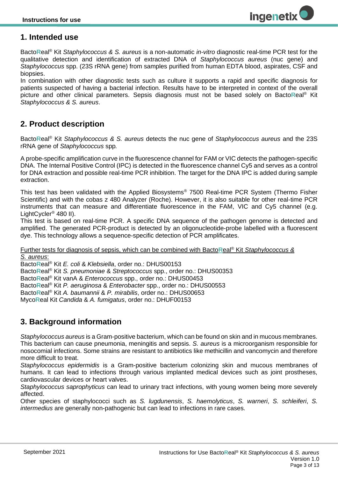## <span id="page-2-0"></span>**1. Intended use**

Bacto**R**eal® Kit *Staphylococcus & S. aureus* is a non-automatic *in-vitro* diagnostic real-time PCR test for the qualitative detection and identification of extracted DNA of *Staphylococcus aureus* (nuc gene) and *Staphylococcus* spp. (23S rRNA gene) from samples purified from human EDTA blood, aspirates, CSF and biopsies.

In combination with other diagnostic tests such as culture it supports a rapid and specific diagnosis for patients suspected of having a bacterial infection. Results have to be interpreted in context of the overall picture and other clinical parameters. Sepsis diagnosis must not be based solely on Bacto**R**eal® Kit *Staphylococcus & S. aureus*.

## <span id="page-2-1"></span>**2. Product description**

Bacto**R**eal® Kit *Staphylococcus & S. aureus* detects the nuc gene of *Staphylococcus aureus* and the 23S rRNA gene of *Staphylococcus* spp*.*

A probe-specific amplification curve in the fluorescence channel for FAM or VIC detects the pathogen-specific DNA. The Internal Positive Control (IPC) is detected in the fluorescence channel Cy5 and serves as a control for DNA extraction and possible real-time PCR inhibition. The target for the DNA IPC is added during sample extraction.

This test has been validated with the Applied Biosystems® 7500 Real-time PCR System (Thermo Fisher Scientific) and with the cobas z 480 Analyzer (Roche). However, it is also suitable for other real-time PCR instruments that can measure and differentiate fluorescence in the FAM, VIC and Cy5 channel (e.g. LightCycler® 480 II).

This test is based on real-time PCR. A specific DNA sequence of the pathogen genome is detected and amplified. The generated PCR-product is detected by an oligonucleotide-probe labelled with a fluorescent dye. This technology allows a sequence-specific detection of PCR amplificates.

Further tests for diagnosis of sepsis, which can be combined with Bacto**R**eal® Kit *Staphylococcus & S. aureus*:

Bacto**R**eal® Kit *E. coli* & *Klebsiella*, order no.: DHUS00153 Bacto**R**eal® Kit *S. pneumoniae* & *Streptococcus* spp., order no.: DHUS00353

Bacto**R**eal® Kit vanA & *Enterococcus* spp., order no.: DHUS00453

Bacto**R**eal® Kit *P. aeruginosa* & *Enterobacter* spp., order no.: DHUS00553

Bacto**R**eal® Kit *A. baumannii* & *P. mirabilis*, order no.: DHUS00653

<span id="page-2-2"></span>Myco**R**eal Kit *Candida* & *A. fumigatus*, order no.: DHUF00153

## **3. Background information**

*Staphylococcus aureus* is a Gram-positive bacterium, which can be found on skin and in mucous membranes. This bacterium can cause pneumonia, meningitis and sepsis. *S. aureus* is a microorganism responsible for nosocomial infections. Some strains are resistant to antibiotics like methicillin and vancomycin and therefore more difficult to treat.

*Staphylococcus epidermidis* is a Gram-positive bacterium colonizing skin and mucous membranes of humans. It can lead to infections through various implanted medical devices such as joint prostheses, cardiovascular devices or heart valves.

*Staphylococcus saprophyticus* can lead to urinary tract infections, with young women being more severely affected.

Other species of staphylococci such as *S. lugdunensis*, *S. haemolyticus*, *S. warneri*, *S. schleiferi*, *S. intermedius* are generally non-pathogenic but can lead to infections in rare cases.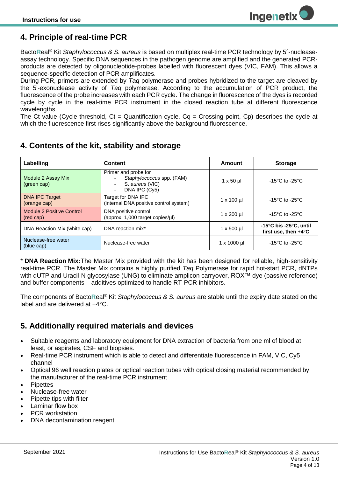## <span id="page-3-0"></span>**4. Principle of real-time PCR**

Bacto**R**eal® Kit *Staphylococcus & S. aureus* is based on multiplex real-time PCR technology by 5´-nucleaseassay technology. Specific DNA sequences in the pathogen genome are amplified and the generated PCRproducts are detected by oligonucleotide-probes labelled with fluorescent dyes (VIC, FAM). This allows a sequence-specific detection of PCR amplificates.

During PCR, primers are extended by *Taq* polymerase and probes hybridized to the target are cleaved by the 5'-exonuclease activity of *Taq* polymerase. According to the accumulation of PCR product, the fluorescence of the probe increases with each PCR cycle. The change in fluorescence of the dyes is recorded cycle by cycle in the real-time PCR instrument in the closed reaction tube at different fluorescence wavelengths.

The Ct value (Cycle threshold,  $Ct =$  Quantification cycle,  $Cq =$  Crossing point, Cp) describes the cycle at which the fluorescence first rises significantly above the background fluorescence.

## <span id="page-3-1"></span>**4. Contents of the kit, stability and storage**

| Labelling                              | Content                                                                                                           | Amount              | <b>Storage</b>                                                               |
|----------------------------------------|-------------------------------------------------------------------------------------------------------------------|---------------------|------------------------------------------------------------------------------|
| Module 2 Assay Mix<br>(green cap)      | Primer and probe for<br>Staphylococcus spp. (FAM)<br>S. aureus (VIC)<br>$\overline{\phantom{a}}$<br>DNA IPC (Cy5) | $1 \times 50 \mu$   | $-15^{\circ}$ C to $-25^{\circ}$ C                                           |
| <b>DNA IPC Target</b><br>(orange cap)  | Target for DNA IPC<br>(internal DNA positive control system)                                                      | $1 \times 100 \mu$  | $-15^{\circ}$ C to $-25^{\circ}$ C                                           |
| Module 2 Positive Control<br>(red cap) | DNA positive control<br>(approx. 1,000 target copies/µl)                                                          | $1 \times 200$ µl   | $-15^{\circ}$ C to $-25^{\circ}$ C                                           |
| DNA Reaction Mix (white cap)           | DNA reaction mix*                                                                                                 | $1 \times 500$ µl   | $-15^{\circ}$ C bis $-25^{\circ}$ C, until<br>first use, then $+4^{\circ}$ C |
| Nuclease-free water<br>(blue cap)      | Nuclease-free water                                                                                               | $1 \times 1000 \mu$ | $-15^{\circ}$ C to $-25^{\circ}$ C                                           |

\* **DNA Reaction Mix:**The Master Mix provided with the kit has been designed for reliable, high-sensitivity real-time PCR. The Master Mix contains a highly purified *Taq* Polymerase for rapid hot-start PCR, dNTPs with dUTP and Uracil-N glycosylase (UNG) to eliminate amplicon carryover, ROX™ dye (passive reference) and buffer components – additives optimized to handle RT-PCR inhibitors.

<span id="page-3-2"></span>The components of Bacto**R**eal® Kit *Staphylococcus & S. aureus* are stable until the expiry date stated on the label and are delivered at +4°C.

## **5. Additionally required materials and devices**

- Suitable reagents and laboratory equipment for DNA extraction of bacteria from one ml of blood at least, or aspirates, CSF and biopsies.
- Real-time PCR instrument which is able to detect and differentiate fluorescence in FAM, VIC, Cy5 channel
- Optical 96 well reaction plates or optical reaction tubes with optical closing material recommended by the manufacturer of the real-time PCR instrument
- **Pipettes**
- Nuclease-free water
- Pipette tips with filter
- Laminar flow box
- PCR workstation
- DNA decontamination reagent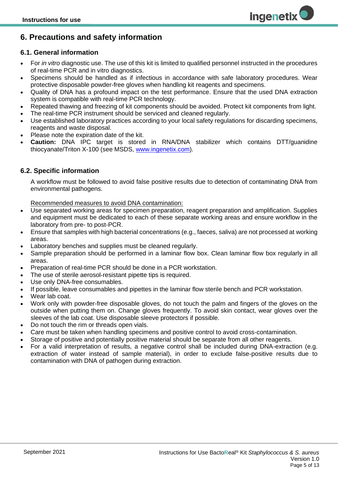## <span id="page-4-0"></span>**6. Precautions and safety information**

#### <span id="page-4-1"></span>**6.1. General information**

• For *in vitro* diagnostic use. The use of this kit is limited to qualified personnel instructed in the procedures of real-time PCR and in vitro diagnostics.

**ingenetix** 

- Specimens should be handled as if infectious in accordance with safe laboratory procedures. Wear protective disposable powder-free gloves when handling kit reagents and specimens.
- Quality of DNA has a profound impact on the test performance. Ensure that the used DNA extraction system is compatible with real-time PCR technology.
- Repeated thawing and freezing of kit components should be avoided. Protect kit components from light.
- The real-time PCR instrument should be serviced and cleaned regularly.
- Use established laboratory practices according to your local safety regulations for discarding specimens, reagents and waste disposal.
- Please note the expiration date of the kit.
- **Caution:** DNA IPC target is stored in RNA/DNA stabilizer which contains DTT/guanidine thiocyanate/Triton X-100 (see MSDS, [www.ingenetix.com\)](http://www.ingenetix.com/).

#### <span id="page-4-2"></span>**6.2. Specific information**

A workflow must be followed to avoid false positive results due to detection of contaminating DNA from environmental pathogens.

Recommended measures to avoid DNA contamination:

- Use separated working areas for specimen preparation, reagent preparation and amplification. Supplies and equipment must be dedicated to each of these separate working areas and ensure workflow in the laboratory from pre- to post-PCR.
- Ensure that samples with high bacterial concentrations (e.g., faeces, saliva) are not processed at working areas.
- Laboratory benches and supplies must be cleaned regularly.
- Sample preparation should be performed in a laminar flow box. Clean laminar flow box regularly in all areas.
- Preparation of real-time PCR should be done in a PCR workstation.
- The use of sterile aerosol-resistant pipette tips is required.
- Use only DNA-free consumables.
- If possible, leave consumables and pipettes in the laminar flow sterile bench and PCR workstation.
- Wear lab coat.
- Work only with powder-free disposable gloves, do not touch the palm and fingers of the gloves on the outside when putting them on. Change gloves frequently. To avoid skin contact, wear gloves over the sleeves of the lab coat. Use disposable sleeve protectors if possible.
- Do not touch the rim or threads open vials.
- Care must be taken when handling specimens and positive control to avoid cross-contamination.
- Storage of positive and potentially positive material should be separate from all other reagents.
- For a valid interpretation of results, a negative control shall be included during DNA-extraction (e.g. extraction of water instead of sample material), in order to exclude false-positive results due to contamination with DNA of pathogen during extraction.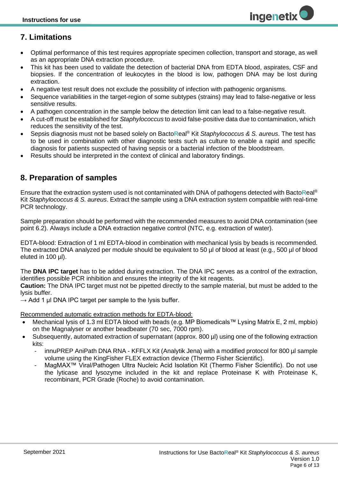## <span id="page-5-0"></span>**7. Limitations**

- Optimal performance of this test requires appropriate specimen collection, transport and storage, as well as an appropriate DNA extraction procedure.
- This kit has been used to validate the detection of bacterial DNA from EDTA blood, aspirates, CSF and biopsies. If the concentration of leukocytes in the blood is low, pathogen DNA may be lost during extraction.
- A negative test result does not exclude the possibility of infection with pathogenic organisms.
- Sequence variabilities in the target-region of some subtypes (strains) may lead to false-negative or less sensitive results.
- A pathogen concentration in the sample below the detection limit can lead to a false-negative result.
- A cut-off must be established for *Staphylococcus* to avoid false-positive data due to contamination, which reduces the sensitivity of the test.
- Sepsis diagnosis must not be based solely on Bacto**R**eal® Kit *Staphylococcus & S. aureus*. The test has to be used in combination with other diagnostic tests such as culture to enable a rapid and specific diagnosis for patients suspected of having sepsis or a bacterial infection of the bloodstream.
- <span id="page-5-1"></span>• Results should be interpreted in the context of clinical and laboratory findings.

## **8. Preparation of samples**

Ensure that the extraction system used is not contaminated with DNA of pathogens detected with Bacto**R**eal® Kit *Staphylococcus & S. aureus*. Extract the sample using a DNA extraction system compatible with real-time PCR technology.

Sample preparation should be performed with the recommended measures to avoid DNA contamination (see point 6.2). Always include a DNA extraction negative control (NTC, e.g. extraction of water).

EDTA-blood: Extraction of 1 ml EDTA-blood in combination with mechanical lysis by beads is recommended. The extracted DNA analyzed per module should be equivalent to 50 µl of blood at least (e.g., 500 µl of blood eluted in 100 µl).

The **DNA IPC target** has to be added during extraction. The DNA IPC serves as a control of the extraction, identifies possible PCR inhibition and ensures the integrity of the kit reagents.

**Caution:** The DNA IPC target must not be pipetted directly to the sample material, but must be added to the lysis buffer.

 $\rightarrow$  Add 1 µl DNA IPC target per sample to the lysis buffer.

Recommended automatic extraction methods for EDTA-blood:

- Mechanical lysis of 1.3 ml EDTA blood with beads (e.g. MP Biomedicals™ Lysing Matrix E, 2 ml, mpbio) on the Magnalyser or another beadbeater (70 sec, 7000 rpm).
- Subsequently, automated extraction of supernatant (approx. 800 µl) using one of the following extraction kits:
	- *-* innuPREP AniPath DNA RNA KFFLX Kit (Analytik Jena) with a modified protocol for 800 µl sample volume using the KingFisher FLEX extraction device (Thermo Fisher Scientific).
	- *-* MagMAX™ Viral/Pathogen Ultra Nucleic Acid Isolation Kit (Thermo Fisher Scientific). Do not use the lyticase and lysozyme included in the kit and replace Proteinase K with Proteinase K, recombinant, PCR Grade (Roche) to avoid contamination.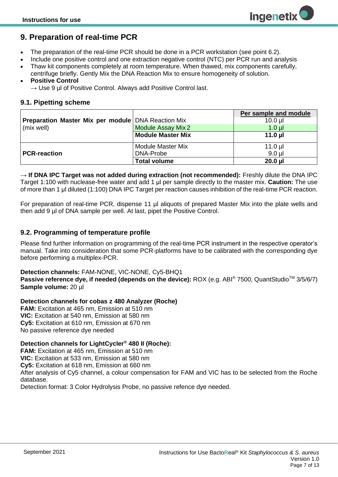## <span id="page-6-0"></span>**9. Preparation of real-time PCR**

- The preparation of the real-time PCR should be done in a PCR workstation (see point 6.2).
- Include one positive control and one extraction negative control (NTC) per PCR run and analysis
- Thaw kit components completely at room temperature. When thawed, mix components carefully, centrifuge briefly. Gently Mix the DNA Reaction Mix to ensure homogeneity of solution.

#### • **Positive Control**

 $\rightarrow$  Use 9 µl of Positive Control. Always add Positive Control last.

#### <span id="page-6-1"></span>**9.1. Pipetting scheme**

|                                                           |                           | Per sample and module |
|-----------------------------------------------------------|---------------------------|-----------------------|
| <b>Preparation Master Mix per module DNA Reaction Mix</b> |                           | $10.0$ $\mu$          |
| (mix well)                                                | <b>Module Assay Mix 2</b> | $1.0$ µl              |
|                                                           | <b>Module Master Mix</b>  | 11.0 $\mu$            |
|                                                           | <b>Module Master Mix</b>  | $11.0$ µl             |
| <b>PCR-reaction</b>                                       | DNA-Probe                 | $9.0$ $\mu$           |
|                                                           | <b>Total volume</b>       | $20.0$ $\mu$          |

**→ If DNA IPC Target was not added during extraction (not recommended):** Freshly dilute the DNA IPC Target 1:100 with nuclease-free water and add 1 μl per sample directly to the master mix. **Caution:** The use of more than 1 μl diluted (1:100) DNA IPC Target per reaction causes inhibition of the real-time PCR reaction.

For preparation of real-time PCR, dispense 11 µl aliquots of prepared Master Mix into the plate wells and then add 9 µl of DNA sample per well. At last, pipet the Positive Control.

#### <span id="page-6-2"></span>**9.2. Programming of temperature profile**

Please find further information on programming of the real-time PCR instrument in the respective operator's manual. Take into consideration that some PCR-platforms have to be calibrated with the corresponding dye before performing a multiplex-PCR.

#### **Detection channels:** FAM-NONE, VIC-NONE, Cy5-BHQ1

**Passive reference dye, if needed (depends on the device):** ROX (e.g. ABI® 7500, QuantStudio™ 3/5/6/7) **Sample volume:** 20 µl

#### **Detection channels for cobas z 480 Analyzer (Roche)**

**FAM:** Excitation at 465 nm, Emission at 510 nm **VIC:** Excitation at 540 nm, Emission at 580 nm **Cy5:** Excitation at 610 nm, Emission at 670 nm No passive reference dye needed

#### **Detection channels for LightCycler® 480 II (Roche):**

**FAM:** Excitation at 465 nm, Emission at 510 nm **VIC:** Excitation at 533 nm, Emission at 580 nm **Cy5:** Excitation at 618 nm, Emission at 660 nm After analysis of Cy5 channel, a colour compensation for FAM and VIC has to be selected from the Roche database.

Detection format: 3 Color Hydrolysis Probe, no passive refence dye needed.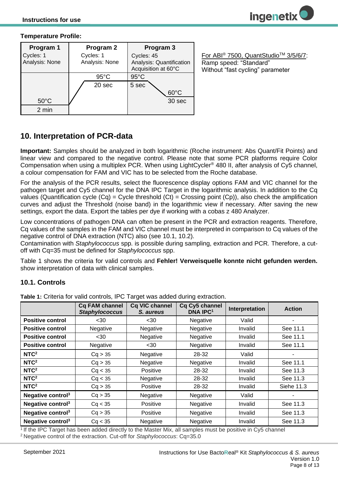#### **Temperature Profile:**

| Program 1                   | Program 2                   | Program 3                                                     |
|-----------------------------|-----------------------------|---------------------------------------------------------------|
| Cycles: 1<br>Analysis: None | Cycles: 1<br>Analysis: None | Cycles: 45<br>Analysis: Quantification<br>Acquisition at 60°C |
|                             | $95^{\circ}$ C              | $95^{\circ}$ C                                                |
|                             | 20 sec                      | 5 sec<br>$60^{\circ}$ C                                       |
| $50^{\circ}$ C              |                             | 30 sec                                                        |
| 2 min                       |                             |                                                               |

For ABI® 7500, QuantStudioTM 3/5/6/7: Ramp speed: "Standard" Without "fast cycling" parameter

## <span id="page-7-0"></span>**10. Interpretation of PCR-data**

**Important:** Samples should be analyzed in both logarithmic (Roche instrument: Abs Quant/Fit Points) and linear view and compared to the negative control. Please note that some PCR platforms require Color Compensation when using a multiplex PCR. When using LightCycler® 480 II, after analysis of Cy5 channel, a colour compensation for FAM and VIC has to be selected from the Roche database.

For the analysis of the PCR results, select the fluorescence display options FAM and VIC channel for the pathogen target and Cy5 channel for the DNA IPC Target in the logarithmic analysis. In addition to the Cq values (Quantification cycle  $(Cq)$  = Cycle threshold  $(Ct)$  = Crossing point  $(Cp)$ ), also check the amplification curves and adjust the Threshold (noise band) in the logarithmic view if necessary. After saving the new settings, export the data. Export the tables per dye if working with a cobas z 480 Analyzer.

Low concentrations of pathogen DNA can often be present in the PCR and extraction reagents. Therefore, Cq values of the samples in the FAM and VIC channel must be interpreted in comparison to Cq values of the negative control of DNA extraction (NTC) also (see 10.1, 10.2).

Contamination with *Staphylococcus* spp. is possible during sampling, extraction and PCR*.* Therefore, a cutoff with Cq=35 must be defined for *Staphylococcus* spp.

[Table 1](#page-7-2) shows the criteria for valid controls and **Fehler! Verweisquelle konnte nicht gefunden werden.** show interpretation of data with clinical samples.

#### <span id="page-7-1"></span>**10.1. Controls**

|                               | <b>Cq FAM channel</b><br><b>Staphylococcus</b> | Cq VIC channel<br>S. aureus | Cq Cy5 channel<br><b>DNA IPC1</b> | Interpretation | <b>Action</b> |
|-------------------------------|------------------------------------------------|-----------------------------|-----------------------------------|----------------|---------------|
| <b>Positive control</b>       | $30$                                           | $30$                        | Negative                          | Valid          |               |
| <b>Positive control</b>       | Negative                                       | Negative                    | Negative                          | Invalid        | See 11.1      |
| <b>Positive control</b>       | $30$                                           | Negative                    | Negative                          | Invalid        | See 11.1      |
| <b>Positive control</b>       | Negative                                       | $30$                        | Negative                          | Invalid        | See 11.1      |
| NTC <sup>2</sup>              | Cq > 35                                        | Negative                    | 28-32                             | Valid          |               |
| NTC <sup>2</sup>              | Cq > 35                                        | Negative                    | Negative                          | Invalid        | See 11.1      |
| NTC <sup>2</sup>              | Cq < 35                                        | Positive                    | 28-32                             | Invalid        | See 11.3      |
| NTC <sup>2</sup>              | Cq < 35                                        | Negative                    | 28-32                             | Invalid        | See 11.3      |
| NTC <sup>2</sup>              | Cq > 35                                        | Positive                    | 28-32                             | Invalid        | Siehe 11.3    |
| Negative control $3$          | Cq > 35                                        | Negative                    | Negative                          | Valid          |               |
| Negative control <sup>3</sup> | Cq < 35                                        | Positive                    | Negative                          | Invalid        | See 11.3      |
| Negative control <sup>3</sup> | Cq > 35                                        | Positive                    | Negative                          | Invalid        | See 11.3      |
| Negative control $3$          | Cq < 35                                        | Negative                    | Negative                          | Invalid        | See 11.3      |

<span id="page-7-2"></span>**Table 1:** Criteria for valid controls, IPC Target was added during extraction.

<sup>1</sup>If the IPC Target has been added directly to the Master Mix, all samples must be positive in Cy5 channel <sup>2</sup>Negative control of the extraction. Cut-off for *Staphylococcus*: Cq=35.0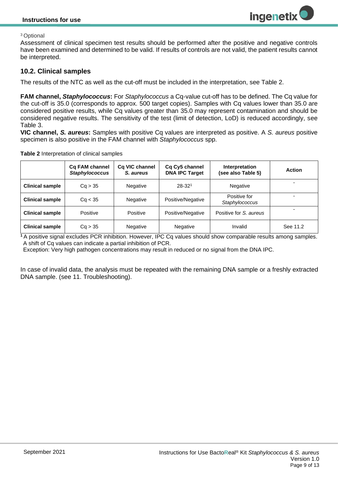#### <sup>3</sup>Optional

Assessment of clinical specimen test results should be performed after the positive and negative controls have been examined and determined to be valid. If results of controls are not valid, the patient results cannot be interpreted.

#### <span id="page-8-0"></span>**10.2. Clinical samples**

The results of the NTC as well as the cut-off must be included in the interpretation, see [Table 2.](#page-8-1)

**FAM channel,** *Staphylococcus***:** For *Staphylococcus* a Cq-value cut-off has to be defined. The Cq value for the cut-off is 35.0 (corresponds to approx. 500 target copies). Samples with Cq values lower than 35.0 are considered positive results, while Cq values greater than 35.0 may represent contamination and should be considered negative results. The sensitivity of the test (limit of detection, LoD) is reduced accordingly, see [Table 3.](#page-10-4)

**VIC channel,** *S. aureus***:** Samples with positive Cq values are interpreted as positive. A *S. aureus* positive specimen is also positive in the FAM channel with *Staphylococcus* spp.

<span id="page-8-1"></span>

|  |  | Table 2 Interpretation of clinical samples |  |  |
|--|--|--------------------------------------------|--|--|
|--|--|--------------------------------------------|--|--|

|                        | Cq FAM channel<br><b>Staphylococcus</b> | Cq VIC channel<br>S. aureus | Cq Cy5 channel<br><b>DNA IPC Target</b> | Interpretation<br>(see also Table 5) | <b>Action</b> |
|------------------------|-----------------------------------------|-----------------------------|-----------------------------------------|--------------------------------------|---------------|
| <b>Clinical sample</b> | Ca > 35                                 | <b>Negative</b>             | $28 - 321$                              | <b>Negative</b>                      |               |
| <b>Clinical sample</b> | Ca < 35                                 | Negative                    | Positive/Negative                       | Positive for<br>Staphylococcus       |               |
| <b>Clinical sample</b> | Positive                                | Positive                    | Positive/Negative                       | Positive for S. aureus               |               |
| <b>Clinical sample</b> | Cq > 35                                 | Negative                    | Negative                                | Invalid                              | See 11.2      |

**<sup>1</sup>**A positive signal excludes PCR inhibition. However, IPC Cq values should show comparable results among samples. A shift of Cq values can indicate a partial inhibition of PCR.

Exception: Very high pathogen concentrations may result in reduced or no signal from the DNA IPC.

In case of invalid data, the analysis must be repeated with the remaining DNA sample or a freshly extracted DNA sample. (see 11. Troubleshooting).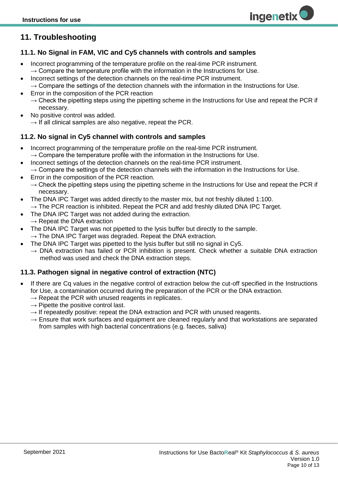## <span id="page-9-0"></span>**11. Troubleshooting**

#### <span id="page-9-1"></span>**11.1. No Signal in FAM, VIC and Cy5 channels with controls and samples**

- Incorrect programming of the temperature profile on the real-time PCR instrument.  $\rightarrow$  Compare the temperature profile with the information in the Instructions for Use.
- Incorrect settings of the detection channels on the real-time PCR instrument.  $\rightarrow$  Compare the settings of the detection channels with the information in the Instructions for Use.
- Error in the composition of the PCR reaction
	- $\rightarrow$  Check the pipetting steps using the pipetting scheme in the Instructions for Use and repeat the PCR if necessary.
- No positive control was added.
	- $\rightarrow$  If all clinical samples are also negative, repeat the PCR.

#### <span id="page-9-2"></span>**11.2. No signal in Cy5 channel with controls and samples**

- Incorrect programming of the temperature profile on the real-time PCR instrument.  $\rightarrow$  Compare the temperature profile with the information in the Instructions for Use.
- Incorrect settings of the detection channels on the real-time PCR instrument.  $\rightarrow$  Compare the settings of the detection channels with the information in the Instructions for Use.
- Error in the composition of the PCR reaction.
- $\rightarrow$  Check the pipetting steps using the pipetting scheme in the Instructions for Use and repeat the PCR if necessary.
- The DNA IPC Target was added directly to the master mix, but not freshly diluted 1:100.  $\rightarrow$  The PCR reaction is inhibited. Repeat the PCR and add freshly diluted DNA IPC Target.
- The DNA IPC Target was not added during the extraction.
- $\rightarrow$  Repeat the DNA extraction
- The DNA IPC Target was not pipetted to the lysis buffer but directly to the sample.  $\rightarrow$  The DNA IPC Target was degraded. Repeat the DNA extraction.
	- The DNA IPC Target was pipetted to the lysis buffer but still no signal in Cy5.
		- $\rightarrow$  DNA extraction has failed or PCR inhibition is present. Check whether a suitable DNA extraction method was used and check the DNA extraction steps.

#### <span id="page-9-3"></span>**11.3. Pathogen signal in negative control of extraction (NTC)**

- If there are Cq values in the negative control of extraction below the cut-off specified in the Instructions for Use, a contamination occurred during the preparation of the PCR or the DNA extraction.
	- $\rightarrow$  Repeat the PCR with unused reagents in replicates.
	- $\rightarrow$  Pipette the positive control last.
	- $\rightarrow$  If repeatedly positive: repeat the DNA extraction and PCR with unused reagents.
	- $\rightarrow$  Ensure that work surfaces and equipment are cleaned regularly and that workstations are separated from samples with high bacterial concentrations (e.g. faeces, saliva)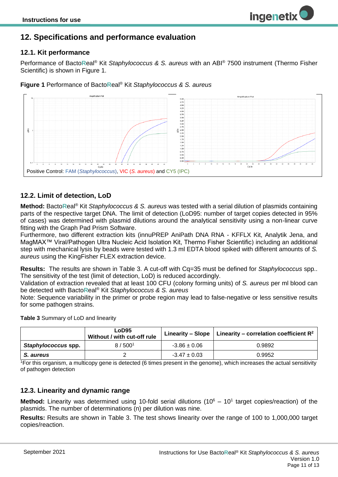#### <span id="page-10-1"></span><span id="page-10-0"></span>**12.1. Kit performance**

Performance of Bacto**R**eal® Kit *Staphylococcus & S. aureus* with an ABI® 7500 instrument (Thermo Fisher Scientific) is shown in Figure 1.

**ingenetix** 

**Figure 1** Performance of Bacto**R**eal® Kit *Staphylococcus & S. aureus*



#### <span id="page-10-2"></span>**12.2. Limit of detection, LoD**

**Method:** Bacto**R**eal® Kit *Staphylococcus & S. aureus* was tested with a serial dilution of plasmids containing parts of the respective target DNA. The limit of detection (LoD95: number of target copies detected in 95% of cases) was determined with plasmid dilutions around the analytical sensitivity using a non-linear curve fitting with the Graph Pad Prism Software.

Furthermore, two different extraction kits (innuPREP AniPath DNA RNA - KFFLX Kit, Analytik Jena, and MagMAX™ Viral/Pathogen Ultra Nucleic Acid Isolation Kit, Thermo Fisher Scientific) including an additional step with mechanical lysis by beads were tested with 1.3 ml EDTA blood spiked with different amounts of *S. aureus* using the KingFisher FLEX extraction device.

**Results:** The results are shown in [Table 3.](#page-10-4) A cut-off with Cq=35 must be defined for *Staphylococcus* spp.. The sensitivity of the test (limit of detection, LoD) is reduced accordingly.

Validation of extraction revealed that at least 100 CFU (colony forming units) of *S. aureus* per ml blood can be detected with Bacto**R**eal® Kit *Staphylococcus & S. aureus*

Note: Sequence variability in the primer or probe region may lead to false-negative or less sensitive results for some pathogen strains.

|                     | L <sub>o</sub> D95<br>Without / with cut-off rule |                  | Linearity – Slope   Linearity – correlation coefficient $\mathbb{R}^2$ |
|---------------------|---------------------------------------------------|------------------|------------------------------------------------------------------------|
| Staphylococcus spp. | 8/500 <sup>1</sup>                                | $-3.86 \pm 0.06$ | 0.9892                                                                 |
| S. aureus           |                                                   | $-3.47 \pm 0.03$ | 0.9952                                                                 |

<span id="page-10-4"></span>**Table 3** Summary of LoD and linearity

 $1$ <sub>T</sub> is organism, a multicopy gene is detected (6 times present in the genome), which increases the actual sensitivity of pathogen detection

#### <span id="page-10-3"></span>**12.3. Linearity and dynamic range**

Method: Linearity was determined using 10-fold serial dilutions (10<sup>6</sup> – 10<sup>1</sup> target copies/reaction) of the plasmids. The number of determinations (n) per dilution was nine.

**Results:** Results are shown in [Table 3.](#page-10-4) The test shows linearity over the range of 100 to 1,000,000 target copies/reaction.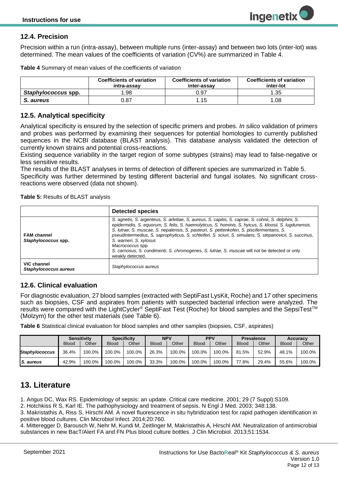## <span id="page-11-0"></span>**12.4. Precision**

Precision within a run (intra-assay), between multiple runs (inter-assay) and between two lots (inter-lot) was determined. The mean values of the coefficients of variation (CV%) are summarized in [Table 4.](#page-11-5)

<span id="page-11-5"></span>

| Table 4 Summary of mean values of the coefficients of variation |  |  |
|-----------------------------------------------------------------|--|--|
|-----------------------------------------------------------------|--|--|

|                     | <b>Coefficients of variation</b><br>intra-assav | <b>Coefficients of variation</b><br>inter-assav | <b>Coefficients of variation</b><br>inter-lot |
|---------------------|-------------------------------------------------|-------------------------------------------------|-----------------------------------------------|
| Staphylococcus spp. | 1.98                                            | 0.97                                            | 1.35                                          |
| S. aureus           | 0.87                                            | 1.15                                            | 1.08                                          |

### <span id="page-11-1"></span>**12.5. Analytical specificity**

Analytical specificity is ensured by the selection of specific primers and probes. *In silico* validation of primers and probes was performed by examining their sequences for potential homologies to currently published sequences in the NCBI database (BLAST analysis). This database analysis validated the detection of currently known strains and potential cross-reactions.

Existing sequence variability in the target region of some subtypes (strains) may lead to false-negative or less sensitive results.

The results of the BLAST analyses in terms of detection of different species are summarized in Table 5. Specificity was further determined by testing different bacterial and fungal isolates. No significant crossreactions were observed (data not shown).

<span id="page-11-4"></span>**Table 5:** Results of BLAST analysis

|                                           | <b>Detected species</b>                                                                                                                                                                                                                                                                                                                                                                                                                                                                                                                                                                   |
|-------------------------------------------|-------------------------------------------------------------------------------------------------------------------------------------------------------------------------------------------------------------------------------------------------------------------------------------------------------------------------------------------------------------------------------------------------------------------------------------------------------------------------------------------------------------------------------------------------------------------------------------------|
| <b>FAM channel</b><br>Staphylococcus spp. | S. agnetis, S. argenteus, S. arlettae, S. aureus, S. capitis, S. caprae, S. cohnii, S. delphini, S.<br>epidermidis, S. equorum, S. felis, S. haemolyticus, S. hominis, S. hyicus, S. kloosii, S. lugdunensis,<br>S. lutrae, S. muscae, S. nepalensis, S. pasteuri, S. pettenkoferi, S. piscifermentans, S.<br>pseudintermedius, S. saprophyticus, S. schleiferi, S. sciuri, S. simulans, S. stepanovicii, S. succinus,<br>S. warneri, S. xylosus<br>Macrococcus spp.<br>S. carnosus, S. condimenti, S. chromogenes, S. lutrae, S. muscae will not be detected or only<br>weakly detected. |
| VIC channel<br>Staphylococcus aureus      | Staphylococcus aureus                                                                                                                                                                                                                                                                                                                                                                                                                                                                                                                                                                     |

#### <span id="page-11-2"></span>**12.6. Clinical evaluation**

For diagnostic evaluation, 27 blood samples (extracted with SeptiFast LysKit, Roche) and 17 other specimens such as biopsies, CSF and aspirates from patients with suspected bacterial infection were analyzed. The results were compared with the LightCycler® SeptiFast Test (Roche) for blood samples and the SepsiTest<sup>™</sup> (Molzym) for the other test materials (see [Table 6\)](#page-11-6).

<span id="page-11-6"></span>**Table 6** Statistical clinical evaluation for blood samples and other samples (biopsies, CSF, aspirates)

|                       | <b>Sensitivity</b> |        | <b>Specificity</b> |        | <b>NPV</b>   |        | <b>PPV</b>   |        | <b>Prevalence</b> |       | <b>Accuracy</b> |        |
|-----------------------|--------------------|--------|--------------------|--------|--------------|--------|--------------|--------|-------------------|-------|-----------------|--------|
|                       | <b>Blood</b>       | Other  | <b>Blood</b>       | Other  | <b>Blood</b> | Other  | <b>Blood</b> | Other  | <b>Blood</b>      | Other | <b>Blood</b>    | Other  |
| <b>Staphylococcus</b> | 36.4%              | 100.0% | 100.0%             | 100.0% | 26.3%        | 100.0% | 100.0%       | 100.0% | 81.5%             | 52.9% | 48.1%           | 100.0% |
| <b>S.</b> aureus      | 42.9%              | 100.0% | 100.0%             | 100.0% | 33.3%        | 100.0% | 100.0%       | 100.0% | 77.8%             | 29.4% | 55.6%           | 100.0% |

## <span id="page-11-3"></span>**13. Literature**

1. Angus DC, Wax RS. Epidemiology of sepsis: an update. Critical care medicine. 2001; 29 (7 Suppl):S109.

2. Hotchkiss R S, Karl IE. The pathophysiology and treatment of sepsis. N Engl J Med. 2003; 348:138.

3. Makristathis A, Riss S, Hirschl AM. A novel fluorescence in situ hybridization test for rapid pathogen identification in positive blood cultures. Clin Microbiol Infect. 2014;20:760.

4. Mitteregger D, Barousch W, Nehr M, Kundi M, Zeitlinger M, Makristathis A, Hirschl AM. Neutralization of antimicrobial substances in new BacT/Alert FA and FN Plus blood culture bottles. J Clin Microbiol. 2013;51:1534.